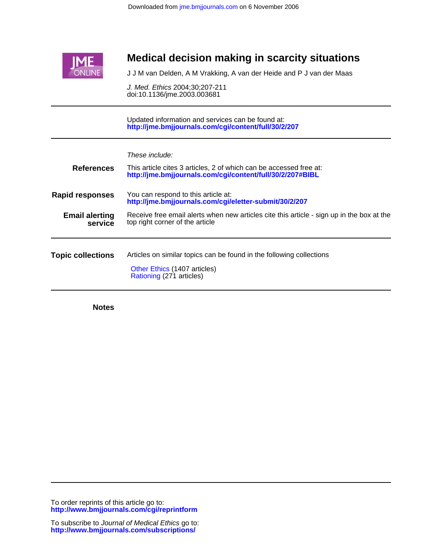

# **Medical decision making in scarcity situations**

J J M van Delden, A M Vrakking, A van der Heide and P J van der Maas

doi:10.1136/jme.2003.003681 J. Med. Ethics 2004;30;207-211

**<http://jme.bmjjournals.com/cgi/content/full/30/2/207>** Updated information and services can be found at:

|                                  | These include:                                                                                                                   |
|----------------------------------|----------------------------------------------------------------------------------------------------------------------------------|
| <b>References</b>                | This article cites 3 articles, 2 of which can be accessed free at:<br>http://jme.bmjjournals.com/cgi/content/full/30/2/207#BIBL  |
| <b>Rapid responses</b>           | You can respond to this article at:<br>http://jme.bmjjournals.com/cgi/eletter-submit/30/2/207                                    |
| <b>Email alerting</b><br>service | Receive free email alerts when new articles cite this article - sign up in the box at the<br>top right corner of the article     |
| <b>Topic collections</b>         | Articles on similar topics can be found in the following collections<br>Other Ethics (1407 articles)<br>Rationing (271 articles) |

**Notes**

**<http://www.bmjjournals.com/cgi/reprintform>** To order reprints of this article go to: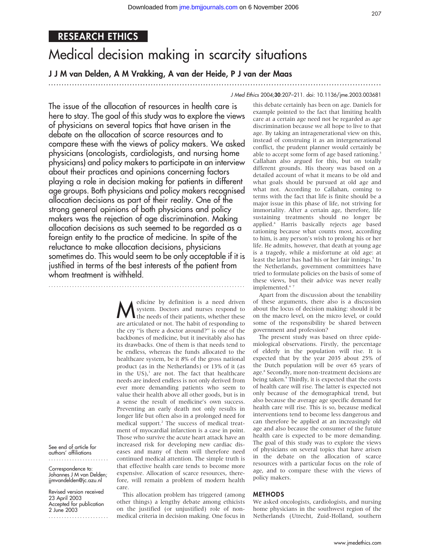## RESEARCH ETHICS

# Medical decision making in scarcity situations

J J M van Delden, A M Vrakking, A van der Heide, P J van der Maas

J Med Ethics 2004;30:207–211. doi: 10.1136/jme.2003.003681

The issue of the allocation of resources in health care is here to stay. The goal of this study was to explore the views of physicians on several topics that have arisen in the debate on the allocation of scarce resources and to compare these with the views of policy makers. We asked physicians (oncologists, cardiologists, and nursing home physicians) and policy makers to participate in an interview about their practices and opinions concerning factors playing a role in decision making for patients in different age groups. Both physicians and policy makers recognised allocation decisions as part of their reality. One of the strong general opinions of both physicians and policy makers was the rejection of age discrimination. Making allocation decisions as such seemed to be regarded as a foreign entity to the practice of medicine. In spite of the reluctance to make allocation decisions, physicians sometimes do. This would seem to be only acceptable if it is justified in terms of the best interests of the patient from whom treatment is withheld.

...........................................................................

.............................................................................................................................. .

Medicine by definition is a need driven<br>the needs of their patients, whether these<br>are articulated or not. The habit of recoording to system. Doctors and nurses respond to I the needs of their patients, whether these are articulated or not. The habit of responding to the cry ''is there a doctor around?'' is one of the backbones of medicine, but it inevitably also has its drawbacks. One of them is that needs tend to be endless, whereas the funds allocated to the healthcare system, be it 8% of the gross national product (as in the Netherlands) or 13% of it (as in the  $US$ ),<sup>1</sup> are not. The fact that healthcare needs are indeed endless is not only derived from ever more demanding patients who seem to value their health above all other goods, but is in a sense the result of medicine's own success. Preventing an early death not only results in longer life but often also in a prolonged need for medical support.<sup>2</sup> The success of medical treatment of myocardial infarction is a case in point. Those who survive the acute heart attack have an increased risk for developing new cardiac diseases and many of them will therefore need continued medical attention. The simple truth is that effective health care tends to become more expensive. Allocation of scarce resources, therefore, will remain a problem of modern health care.

This allocation problem has triggered (among other things) a lengthy debate among ethicists on the justified (or unjustified) role of nonmedical criteria in decision making. One focus in this debate certainly has been on age. Daniels for example pointed to the fact that limiting health care at a certain age need not be regarded as age discrimination because we all hope to live to that age. By taking an intragenerational view on this, instead of construing it as an intergenerational conflict, the prudent planner would certainly be able to accept some form of age based rationing.<sup>3</sup> Callahan also argued for this, but on totally different grounds. His theory was based on a detailed account of what it means to be old and what goals should be pursued at old age and what not. According to Callahan, coming to terms with the fact that life is finite should be a major issue in this phase of life, not striving for immortality. After a certain age, therefore, life sustaining treatments should no longer be applied.4 Harris basically rejects age based rationing because what counts most, according to him, is any person's wish to prolong his or her life. He admits, however, that death at young age is a tragedy, while a misfortune at old age: at least the latter has had his or her fair innings.<sup>5</sup> In the Netherlands, government committees have tried to formulate policies on the basis of some of these views, but their advice was never really implemented.<sup>67</sup>

Apart from the discussion about the tenability of these arguments, there also is a discussion about the locus of decision making: should it be on the macro level, on the micro level, or could some of the responsibility be shared between government and profession?

The present study was based on three epidemiological observations. Firstly, the percentage of elderly in the population will rise. It is expected that by the year 2035 about 25% of the Dutch population will be over 65 years of age.<sup>8</sup> Secondly, more non-treatment decisions are being taken.<sup>9</sup> Thirdly, it is expected that the costs of health care will rise. The latter is expected not only because of the demographical trend, but also because the average age specific demand for health care will rise. This is so, because medical interventions tend to become less dangerous and can therefore be applied at an increasingly old age and also because the consumer of the future health care is expected to be more demanding. The goal of this study was to explore the views of physicians on several topics that have arisen in the debate on the allocation of scarce resources with a particular focus on the role of age, and to compare these with the views of policy makers.

#### METHODS

We asked oncologists, cardiologists, and nursing home physicians in the southwest region of the Netherlands (Utrecht, Zuid-Holland, southern

See end of article for authors' affiliations .......................

Correspondence to: Johannes J M van Delden; jjmvandelden@jc.azu.nl

Revised version received 23 April 2003 Accepted for publication 2 June 2003 .......................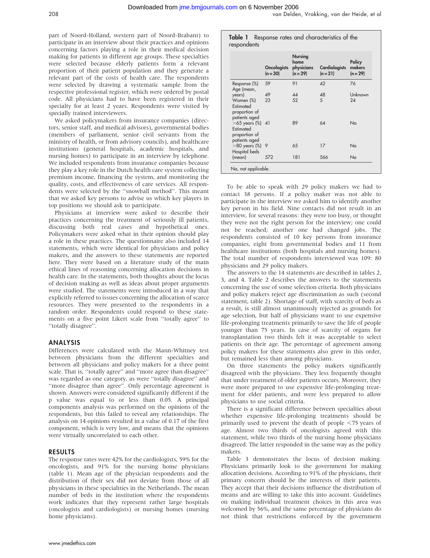part of Noord-Holland, western part of Noord-Brabant) to participate in an interview about their practices and opinions concerning factors playing a role in their medical decision making for patients in different age groups. These specialties were selected because elderly patients form a relevant proportion of their patient population and they generate a relevant part of the costs of health care. The respondents were selected by drawing a systematic sample from the respective professional register, which were ordered by postal code. All physicians had to have been registered in their specialty for at least 2 years. Respondents were visited by specially trained interviewers.

We asked policymakers from insurance companies (directors, senior staff, and medical advisors), governmental bodies (members of parliament, senior civil servants from the ministry of health, or from advisory councils), and healthcare institutions (general hospitals, academic hospitals, and nursing homes) to participate in an interview by telephone. We included respondents from insurance companies because they play a key role in the Dutch health care system collecting premium income, financing the system, and monitoring the quality, costs, and effectiveness of care services. All respondents were selected by the ''snowball method''. This meant that we asked key persons to advise us which key players in top positions we should ask to participate.

Physicians at interview were asked to describe their practices concerning the treatment of seriously ill patients, discussing both real cases and hypothetical ones. Policymakers were asked what in their opinion should play a role in these practices. The questionnaire also included 14 statements, which were identical for physicians and policy makers, and the answers to these statements are reported here. They were based on a literature study of the main ethical lines of reasoning concerning allocation decisions in health care. In the statements, both thoughts about the locus of decision making as well as ideas about proper arguments were studied. The statements were introduced in a way that explicitly referred to issues concerning the allocation of scarce resources. They were presented to the respondents in a random order. Respondents could respond to these statements on a five point Likert scale from ''totally agree'' to "totally disagree".

#### ANALYSIS

Differences were calculated with the Mann-Whitney test between physicians from the different specialties and between all physicians and policy makers for a three point scale. That is, ''totally agree'' and ''more agree than disagree'' was regarded as one category, as were ''totally disagree'' and ''more disagree than agree''. Only percentage agreement is shown. Answers were considered significantly different if the p value was equal to or less than 0.05. A principal components analysis was performed on the opinions of the respondents, but this failed to reveal any relationships. The analysis on 14 opinions resulted in a value of 0.17 of the first component, which is very low, and means that the opinions were virtually uncorrelated to each other.

#### RESULTS

The response rates were 42% for the cardiologists, 59% for the oncologists, and 91% for the nursing home physicians (table 1). Mean age of the physician respondents and the distribution of their sex did not deviate from those of all physicians in these specialities in the Netherlands. The mean number of beds in the institution where the respondents work indicates that they represent rather large hospitals (oncologists and cardiologists) or nursing homes (nursing home physicians).

|                                                                   | <b>Oncologists</b><br>$(n = 30)$ | <b>Nursing</b><br>home<br>physicians<br>$(n = 29)$ | Cardiologists<br>$(n = 21)$ | Policy<br>makers<br>$(n = 29)$ |
|-------------------------------------------------------------------|----------------------------------|----------------------------------------------------|-----------------------------|--------------------------------|
| Response (%)<br>Age (mean,                                        | 59                               | 91                                                 | 42                          | 76                             |
| years)                                                            | 49                               | 44                                                 | 48                          | Unknown                        |
| Women (%)<br>Estimated<br>proportion of<br>patients aged          | 23                               | 52                                                 | 5                           | 24                             |
| $>65$ years (%) 41<br>Estimated<br>proportion of<br>patients aged |                                  | 89                                                 | 64                          | Na                             |
| $>80$ years (%) 9<br>Hospital beds                                |                                  | 65                                                 | 17                          | Na                             |
| (mean)                                                            | 572                              | 181                                                | 566                         | Na                             |

To be able to speak with 29 policy makers we had to contact 38 persons. If a policy maker was not able to participate in the interview we asked him to identify another key person in his field. Nine contacts did not result in an interview, for several reasons: they were too busy, or thought they were not the right person for the interview; one could not be reached; another one had changed jobs. The respondents consisted of 10 key persons from insurance companies, eight from governmental bodies and 11 from healthcare institutions (both hospitals and nursing homes). The total number of respondents interviewed was 109: 80 physicians and 29 policy makers.

The answers to the 14 statements are described in tables 2, 3, and 4. Table 2 describes the answers to the statements concerning the use of some selection criteria. Both physicians and policy makers reject age discrimination as such (second statement, table 2). Shortage of staff, with scarcity of beds as a result, is still almost unanimously rejected as grounds for age selection, but half of physicians want to use expensive life-prolonging treatments primarily to save the life of people younger than 75 years. In case of scarcity of organs for transplantation two thirds felt it was acceptable to select patients on their age. The percentage of agreement among policy makers for these statements also grew in this order, but remained less than among physicians.

On three statements the policy makers significantly disagreed with the physicians. They less frequently thought that under treatment of older patients occurs. Moreover, they were more prepared to use expensive life-prolonging treatment for elder patients, and were less prepared to allow physicians to use social criteria.

There is a significant difference between specialties about whether expensive life-prolonging treatments should be primarily used to prevent the death of people  $\leq$ 75 years of age. Almost two thirds of oncologists agreed with this statement, while two thirds of the nursing home physicians disagreed. The latter responded in the same way as the policy makers.

Table 3 demonstrates the locus of decision making. Physicians primarily look to the government for making allocation decisions. According to 91% of the physicians, their primary concern should be the interests of their patients. They accept that their decisions influence the distribution of means and are willing to take this into account. Guidelines on making individual treatment choices in this area was welcomed by 56%, and the same percentage of physicians do not think that restrictions enforced by the government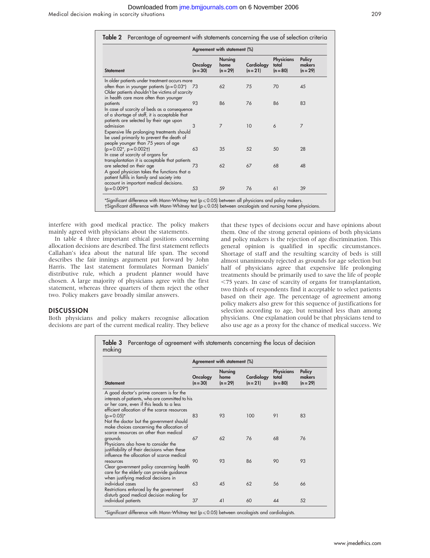|                                                                                                                                                                                         | Agreement with statement (%) |                                      |                          |                                          |                                       |
|-----------------------------------------------------------------------------------------------------------------------------------------------------------------------------------------|------------------------------|--------------------------------------|--------------------------|------------------------------------------|---------------------------------------|
| <b>Statement</b>                                                                                                                                                                        | Oncology<br>$(n = 30)$       | <b>Nursing</b><br>home<br>$(n = 29)$ | Cardiology<br>$(n = 21)$ | <b>Physicians</b><br>total<br>$(n = 80)$ | <b>Policy</b><br>makers<br>$(n = 29)$ |
| In older patients under treatment occurs more<br>often than in younger patients ( $p = 0.03$ *)<br>Older patients shouldn't be victims of scarcity                                      | - 73                         | 62                                   | 75                       | 70                                       | 45                                    |
| in health care more often than younger<br>patients<br>In case of scarcity of beds as a consequence<br>of a shortage of staff, it is acceptable that                                     | 93                           | 86                                   | 76                       | 86                                       | 83                                    |
| patients are selected by their age upon<br>admission<br>Expensive life prolonging treatments should<br>be used primarily to prevent the death of<br>people younger than 75 years of age | 3                            | $\overline{7}$                       | 10                       | 6                                        | $\overline{7}$                        |
| $(p=0.02^*, p=0.002\dagger)$<br>In case of scarcity of organs for<br>transplantation it is acceptable that patients                                                                     | 63                           | 35                                   | 52                       | 50                                       | 28                                    |
| are selected on their age<br>A good physician takes the functions that a<br>patient fulfils in family and society into<br>account in important medical decisions.                       | 73                           | 62                                   | 67                       | 68                                       | 48                                    |
| $(p = 0.009^*)$                                                                                                                                                                         | 53                           | 59                                   | 76                       | 61                                       | 39                                    |

\*Significant difference with Mann-Whitney test (p≤0.05) between all physicians and policy makers.<br>†Significant difference with Mann-Whitney test (p≤0.05) between oncologists and nursing home physicians.

interfere with good medical practice. The policy makers mainly agreed with physicians about the statements.

In table 4 three important ethical positions concerning allocation decisions are described. The first statement reflects Callahan's idea about the natural life span. The second describes the fair innings argument put forward by John Harris. The last statement formulates Norman Daniels' distributive rule, which a prudent planner would have chosen. A large majority of physicians agree with the first statement, whereas three quarters of them reject the other two. Policy makers gave broadly similar answers.

that these types of decisions occur and have opinions about them. One of the strong general opinions of both physicians and policy makers is the rejection of age discrimination. This general opinion is qualified in specific circumstances. Shortage of staff and the resulting scarcity of beds is still almost unanimously rejected as grounds for age selection but half of physicians agree that expensive life prolonging treatments should be primarily used to save the life of people  $<$ 75 years. In case of scarcity of organs for transplantation, two thirds of respondents find it acceptable to select patients based on their age. The percentage of agreement among policy makers also grew for this sequence of justifications for selection according to age, but remained less than among physicians. One explanation could be that physicians tend to also use age as a proxy for the chance of medical success. We

### **DISCUSSION**

Both physicians and policy makers recognise allocation decisions are part of the current medical reality. They believe

|                                                                                                                                                                                          | Agreement with statement (%) |                                      |                          |                                          |                                |
|------------------------------------------------------------------------------------------------------------------------------------------------------------------------------------------|------------------------------|--------------------------------------|--------------------------|------------------------------------------|--------------------------------|
| <b>Statement</b>                                                                                                                                                                         | Oncology<br>$(n=30)$         | <b>Nursing</b><br>home<br>$(n = 29)$ | Cardiology<br>$(n = 21)$ | <b>Physicians</b><br>total<br>$(n = 80)$ | Policy<br>makers<br>$(n = 29)$ |
| A good doctor's prime concern is for the<br>interests of patients, who are committed to his<br>or her care, even if this leads to a less<br>efficient allocation of the scarce resources |                              |                                      |                          |                                          |                                |
| $(p = 0.05)^*$<br>Not the doctor but the government should<br>make choices concerning the allocation of<br>scarce resources on other than medical                                        | 83                           | 93                                   | 100                      | 91                                       | 83                             |
| grounds<br>Physicians also have to consider the<br>justifiability of their decisions when these<br>influence the allocation of scarce medical                                            | 67                           | 62                                   | 76                       | 68                                       | 76                             |
| resources<br>Clear government policy concerning health<br>care for the elderly can provide guidance<br>when justifying medical decisions in                                              | 90                           | 93                                   | 86                       | 90                                       | 93                             |
| individual cases<br>Restrictions enforced by the government<br>disturb good medical decision making for                                                                                  | 63                           | 45                                   | 62                       | 56                                       | 66                             |
| individual patients                                                                                                                                                                      | 37                           | 41                                   | 60                       | 44                                       | 52                             |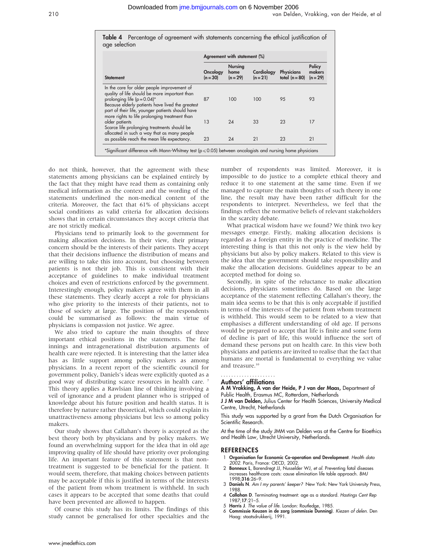210 van Delden, Vrakking, van der Heide, et al

|                                                                                                                                                                                                                                      | Agreement with statement (%) |                                      |                          |                                       |                                       |
|--------------------------------------------------------------------------------------------------------------------------------------------------------------------------------------------------------------------------------------|------------------------------|--------------------------------------|--------------------------|---------------------------------------|---------------------------------------|
| <b>Statement</b>                                                                                                                                                                                                                     | Oncology<br>$(n = 30)$       | <b>Nursing</b><br>home<br>$(n = 29)$ | Cardiology<br>$(n = 21)$ | <b>Physicians</b><br>total $(n = 80)$ | <b>Policy</b><br>makers<br>$(n = 29)$ |
| In the care for older people improvement of<br>quality of life should be more important than<br>prolonging life $(p=0.04)^*$<br>Because elderly patients have lived the greatest<br>part of their life, younger patients should have | 87                           | 100                                  | 100                      | 95                                    | 93                                    |
| more rights to life prolonging treatment than<br>older patients<br>Scarce life prolonging treatments should be                                                                                                                       | 13                           | 24                                   | 33                       | 23                                    | 17                                    |
| allocated in such a way that as many people<br>as possible reach the mean life expectancy.                                                                                                                                           | 23                           | 24                                   | 21                       | 23                                    | 21                                    |

do not think, however, that the agreement with these statements among physicians can be explained entirely by the fact that they might have read them as containing only medical information as the context and the wording of the statements underlined the non-medical content of the criteria. Moreover, the fact that 61% of physicians accept social conditions as valid criteria for allocation decisions shows that in certain circumstances they accept criteria that are not strictly medical.

Physicians tend to primarily look to the government for making allocation decisions. In their view, their primary concern should be the interests of their patients. They accept that their decisions influence the distribution of means and are willing to take this into account, but choosing between patients is not their job. This is consistent with their acceptance of guidelines to make individual treatment choices and even of restrictions enforced by the government. Interestingly enough, policy makers agree with them in all these statements. They clearly accept a role for physicians who give priority to the interests of their patients, not to those of society at large. The position of the respondents could be summarised as follows: the main virtue of physicians is compassion not justice. We agree.

We also tried to capture the main thoughts of three important ethical positions in the statements. The fair innings and intragenerational distribution arguments of health care were rejected. It is interesting that the latter idea has as little support among policy makers as among physicians. In a recent report of the scientific council for government policy, Daniels's ideas were explicitly quoted as a good way of distributing scarce resources in health care. <sup>7</sup> This theory applies a Rawlsian line of thinking involving a veil of ignorance and a prudent planner who is stripped of knowledge about his future position and health status. It is therefore by nature rather theoretical, which could explain its unattractiveness among physicians but less so among policy makers.

Our study shows that Callahan's theory is accepted as the best theory both by physicians and by policy makers. We found an overwhelming support for the idea that in old age improving quality of life should have priority over prolonging life. An important feature of this statement is that nontreatment is suggested to be beneficial for the patient. It would seem, therefore, that making choices between patients may be acceptable if this is justified in terms of the interests of the patient from whom treatment is withheld. In such cases it appears to be accepted that some deaths that could have been prevented are allowed to happen.

Of course this study has its limits. The findings of this study cannot be generalised for other specialties and the number of respondents was limited. Moreover, it is impossible to do justice to a complete ethical theory and reduce it to one statement at the same time. Even if we managed to capture the main thoughts of such theory in one line, the result may have been rather difficult for the respondents to interpret. Nevertheless, we feel that the findings reflect the normative beliefs of relevant stakeholders in the scarcity debate.

What practical wisdom have we found? We think two key messages emerge. Firstly, making allocation decisions is regarded as a foreign entity in the practice of medicine. The interesting thing is that this not only is the view held by physicians but also by policy makers. Related to this view is the idea that the government should take responsibility and make the allocation decisions. Guidelines appear to be an accepted method for doing so.

Secondly, in spite of the reluctance to make allocation decisions, physicians sometimes do. Based on the large acceptance of the statement reflecting Callahan's theory, the main idea seems to be that this is only acceptable if justified in terms of the interests of the patient from whom treatment is withheld. This would seem to be related to a view that emphasises a different understanding of old age. If persons would be prepared to accept that life is finite and some form of decline is part of life, this would influence the sort of demand these persons put on health care. In this view both physicians and patients are invited to realise that the fact that humans are mortal is fundamental to everything we value and treasure.<sup>10</sup>

#### Authors' affiliations .....................

A M Vrakking, A van der Heide, P J van der Maas, Department of Public Health, Erasmus MC, Rotterdam, Netherlands

J J M van Delden, Julius Center for Health Sciences, University Medical Centre, Utrecht, Netherlands

This study was supported by a grant from the Dutch Organisation for Scientific Research.

At the time of the study JMM van Delden was at the Centre for Bioethics and Health Law, Utrecht University, Netherlands.

#### **REFERENCES**

- Organisation for Economic Co-operation and Development. Health data 2002. Paris, France: OECD, 2002.
- 2 **Bonneux L**, Barendregt JJ, Nusselder WJ, et al. Preventing fatal diseases increases healthcare costs: cause elimination life table approach. BMJ 1998;316:26–9.
- 3 Daniels N. Am I my parents' keeper? New York: New York University Press, 1988.
- 4 Callahan D. Terminating treatment: age as a standard. Hastings Cent Rep 1987;17:21–5.
- 5 Harris J. The value of life. London: Routledge, 1985.
- Commissie Keuzen in de zorg (commissie Dunning). Kiezen of delen. Den Haag: staatsdrukkerij, 1991.